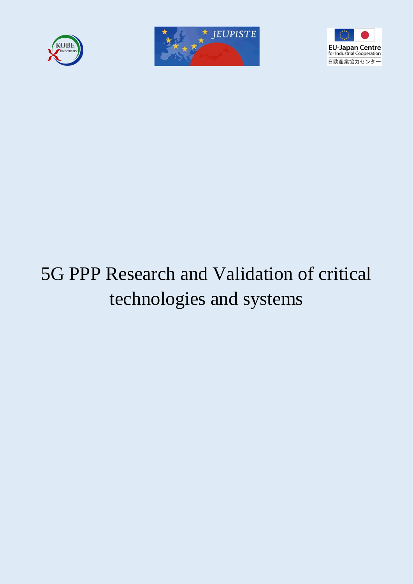





# 5G PPP Research and Validation of critical technologies and systems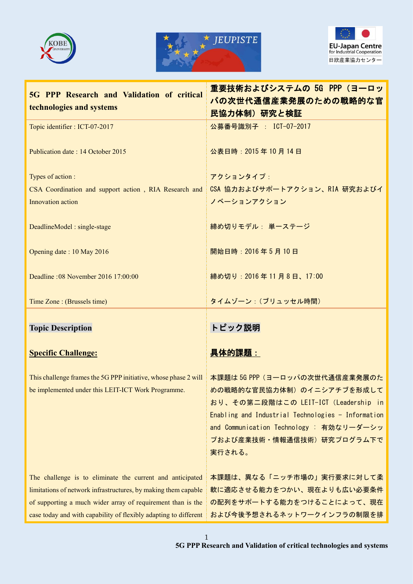





| 5G PPP Research and Validation of critical                                                                                                                                                                                                                     | 重要技術およびシステムの 5G PPP (ヨーロッ                                                                                                                                                                                                                    |
|----------------------------------------------------------------------------------------------------------------------------------------------------------------------------------------------------------------------------------------------------------------|----------------------------------------------------------------------------------------------------------------------------------------------------------------------------------------------------------------------------------------------|
| technologies and systems                                                                                                                                                                                                                                       | パの次世代通信産業発展のための戦略的な官<br>民協力体制)研究と検証                                                                                                                                                                                                          |
| Topic identifier : ICT-07-2017                                                                                                                                                                                                                                 | 公募番号識別子: ICT-07-2017                                                                                                                                                                                                                         |
| Publication date: 14 October 2015                                                                                                                                                                                                                              | 公表日時: 2015年10月14日                                                                                                                                                                                                                            |
| Types of action :<br>CSA Coordination and support action, RIA Research and<br>Innovation action                                                                                                                                                                | アクションタイプ:<br>CSA 協力およびサポートアクション、RIA 研究およびイ<br>ノベーションアクション                                                                                                                                                                                    |
| DeadlineModel: single-stage                                                                                                                                                                                                                                    | 締め切りモデル: 単一ステージ                                                                                                                                                                                                                              |
| Opening date: 10 May 2016                                                                                                                                                                                                                                      | 開始日時: 2016年5月10日                                                                                                                                                                                                                             |
| Deadline: 08 November 2016 17:00:00                                                                                                                                                                                                                            | 締め切り: 2016年11月8日、17:00                                                                                                                                                                                                                       |
| Time Zone : (Brussels time)                                                                                                                                                                                                                                    | タイムゾーン: (ブリュッセル時間)                                                                                                                                                                                                                           |
| <b>Topic Description</b>                                                                                                                                                                                                                                       | トピック説明                                                                                                                                                                                                                                       |
| <b>Specific Challenge:</b>                                                                                                                                                                                                                                     | 具体的課題:                                                                                                                                                                                                                                       |
| This challenge frames the 5G PPP initiative, whose phase 2 will<br>be implemented under this LEIT-ICT Work Programme.                                                                                                                                          | 本課題は 5G PPP (ヨーロッパの次世代通信産業発展のた<br>めの戦略的な官民協力体制)のイニシアチブを形成して<br>おり、その第二段階はこの LEIT-ICT (Leadership in<br>Enabling and Industrial Technologies - Information<br>and Communication Technology : 有効なリーダーシッ<br>プおよび産業技術·情報通信技術)研究プログラム下で<br>実行される。 |
| The challenge is to eliminate the current and anticipated<br>limitations of network infrastructures, by making them capable<br>of supporting a much wider array of requirement than is the<br>case today and with capability of flexibly adapting to different | 本課題は、異なる「ニッチ市場の」実行要求に対して柔<br>軟に適応させる能力をつかい、現在よりも広い必要条件<br>の配列をサポートする能力をつけることによって、現在<br>および今後予想されるネットワークインフラの制限を排                                                                                                                             |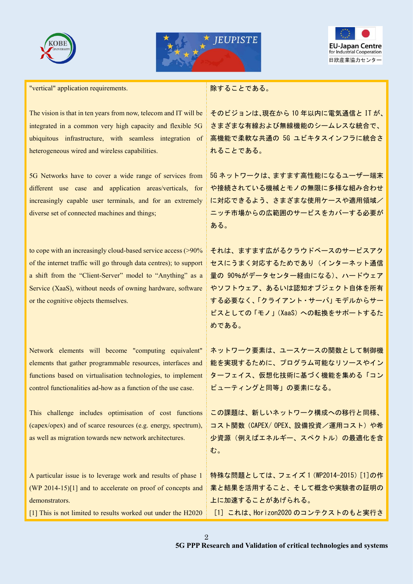





"vertical" application requirements.

The vision is that in ten years from now, telecom and IT will be integrated in a common very high capacity and flexible 5G ubiquitous infrastructure, with seamless integration of heterogeneous wired and wireless capabilities.

5G Networks have to cover a wide range of services from different use case and application areas/verticals, for increasingly capable user terminals, and for an extremely diverse set of connected machines and things;

to cope with an increasingly cloud-based service access (>90% of the internet traffic will go through data centres); to support a shift from the "Client-Server" model to "Anything" as a Service (XaaS), without needs of owning hardware, software or the cognitive objects themselves.

Network elements will become "computing equivalent" elements that gather programmable resources, interfaces and functions based on virtualisation technologies, to implement control functionalities ad-how as a function of the use case.

This challenge includes optimisation of cost functions (capex/opex) and of scarce resources (e.g. energy, spectrum), as well as migration towards new network architectures.

A particular issue is to leverage work and results of phase 1 (WP 2014-15)[1] and to accelerate on proof of concepts and demonstrators.

[1] This is not limited to results worked out under the H2020

除することである。

そのビジョンは、現在から 10 年以内に電気通信と IT が、 さまざまな有線および無線機能のシームレスな統合で、 高機能で柔軟な共通の 5G ユビキタスインフラに統合さ れることである。

5G ネットワークは、ますます高性能になるユーザー端末 や接続されている機械とモノの無限に多様な組み合わせ に対応できるよう、さまざまな使用ケースや適用領域/ ニッチ市場からの広範囲のサービスをカバーする必要が ある。

それは、ますます広がるクラウドベースのサービスアク セスにうまく対応するためであり(インターネット通信 量の 90%がデータセンター経由になる)、ハードウェア やソフトウェア、あるいは認知オブジェクト自体を所有 する必要なく、「クライアント・サーバ」モデルからサー ビスとしての「モノ」(XaaS)への転換をサポートするた めである。

ネットワーク要素は、ユースケースの関数として制御機 能を実現するために、プログラム可能なリソースやイン ターフェイス、仮想化技術に基づく機能を集める「コン ピューティングと同等」の要素になる。

この課題は、新しいネットワーク構成への移行と同様、 コスト関数(CAPEX/OPEX、設備投資/運用コスト)や希 少資源(例えばエネルギー、スペクトル)の最適化を含 む。

特殊な問題としては、フェイズ 1(WP2014-2015)[1]の作 業と結果を活用すること、そして概念や実験者の証明の 上に加速することがあげられる。

[1] これは、Horizon2020 のコンテクストのもと実行さ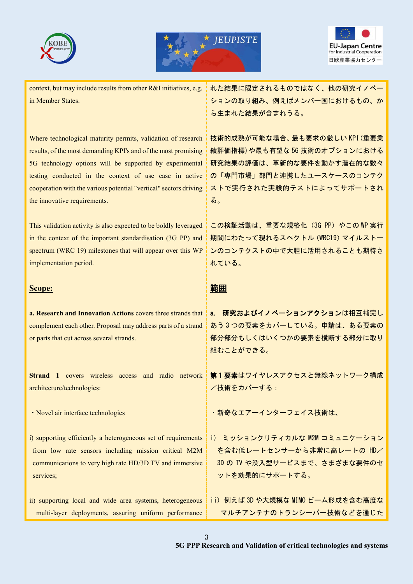





context, but may include results from other R&I initiatives, e.g. in Member States.

Where technological maturity permits, validation of research results, of the most demanding KPI's and of the most promising 5G technology options will be supported by experimental testing conducted in the context of use case in active cooperation with the various potential "vertical" sectors driving the innovative requirements.

This validation activity is also expected to be boldly leveraged in the context of the important standardisation (3G PP) and spectrum (WRC 19) milestones that will appear over this WP implementation period.

#### **Scope:**

**a. Research and Innovation Actions** covers three strands that complement each other. Proposal may address parts of a strand or parts that cut across several strands.

**Strand 1** covers wireless access and radio network architecture/technologies:

・Novel air interface technologies

- i) supporting efficiently a heterogeneous set of requirements from low rate sensors including mission critical M2M communications to very high rate HD/3D TV and immersive services;
- ii) supporting local and wide area systems, heterogeneous multi-layer deployments, assuring uniform performance

れた結果に限定されるものではなく、他の研究イノベー ションの取り組み、例えばメンバー国におけるもの、か ら生まれた結果が含まれうる。

技術的成熟が可能な場合、最も要求の厳しい KPI(重要業 績評価指標)や最も有望な 5G 技術のオプションにおける 研究結果の評価は、革新的な要件を動かす潜在的な数々 の「専門市場」部門と連携したユースケースのコンテク ストで実行された実験的テストによってサポートされ る。

この検証活動は、重要な規格化 (3G PP) やこの WP 実行 期間にわたって現れるスペクトル(WRC19)マイルストー ンのコンテクストの中で大胆に活用されることも期待さ れている。

## 範囲

a. 研究およびイノベーションアクションは相互補完し あう 3 つの要素をカバーしている。申請は、ある要素の 部分部分もしくはいくつかの要素を横断する部分に取り 組むことができる。

第 1 要素はワイヤレスアクセスと無線ネットワーク構成 /技術をカバーする:

・新奇なエアーインターフェイス技術は、

- i) ミッションクリティカルな M2M コミュニケーション を含む低レートセンサーから非常に高レートの HD/ 3D の TV や没入型サービスまで、さまざまな要件のセ ットを効果的にサポートする。
- ii) 例えば 3D や大規模な MIMO ビーム形成を含む高度な マルチアンテナのトランシーバー技術などを通じた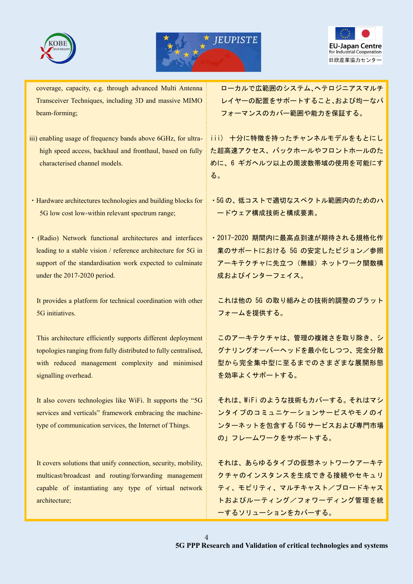





coverage, capacity, e.g. through advanced Multi Antenna Transceiver Techniques, including 3D and massive MIMO beam-forming;

- iii) enabling usage of frequency bands above 6GHz, for ultrahigh speed access, backhaul and fronthaul, based on fully characterised channel models.
- ・Hardware architectures technologies and building blocks for 5G low cost low-within relevant spectrum range;
- ・ (Radio) Network functional architectures and interfaces leading to a stable vision / reference architecture for 5G in support of the standardisation work expected to culminate under the 2017-2020 period.

It provides a platform for technical coordination with other 5G initiatives.

This architecture efficiently supports different deployment topologies ranging from fully distributed to fully centralised, with reduced management complexity and minimised signalling overhead.

It also covers technologies like WiFi. It supports the "5G services and verticals" framework embracing the machinetype of communication services, the Internet of Things.

It covers solutions that unify connection, security, mobility, multicast/broadcast and routing/forwarding management capable of instantiating any type of virtual network architecture;

ローカルで広範囲のシステム、ヘテロジニアスマルチ レイヤーの配置をサポートすること、および均一なパ フォーマンスのカバー範囲や能力を保証する。

iii) 十分に特徴を持ったチャンネルモデルをもとにし た超高速アクセス、バックホールやフロントホールのた めに、6 ギガヘルツ以上の周波数帯域の使用を可能にす る。

- ・5G の、低コストで適切なスペクトル範囲内のためのハ ードウェア構成技術と構成要素。
- ・2017-2020 期間内に最高点到達が期待される規格化作 業のサポートにおける 5G の安定したビジョン/参照 アーキテクチャに先立つ(無線)ネットワーク関数構 成およびインターフェイス。

これは他の 5G の取り組みとの技術的調整のプラット フォームを提供する。

このアーキテクチャは、管理の複雑さを取り除き、シ グナリングオーバーヘッドを最小化しつつ、完全分散 型から完全集中型に至るまでのさまざまな展開形態 を効率よくサポートする。

それは、WiFi のような技術もカバーする。それはマシ ンタイプのコミュニケーションサービスやモノのイ ンターネットを包含する「5G サービスおよび専門市場 の」フレームワークをサポートする。

それは、あらゆるタイプの仮想ネットワークアーキテ クチャのインスタンスを生成できる接続やセキュリ ティ、モビリティ、マルチキャスト/ブロードキャス トおよびルーティング/フォワーディング管理を統 一するソリューションをカバーする。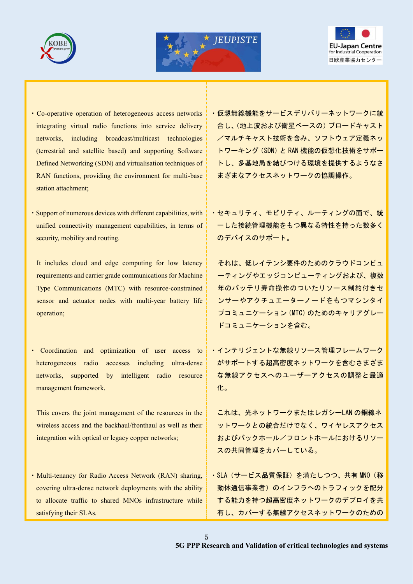





- ・Co-operative operation of heterogeneous access networks integrating virtual radio functions into service delivery networks, including broadcast/multicast technologies (terrestrial and satellite based) and supporting Software Defined Networking (SDN) and virtualisation techniques of RAN functions, providing the environment for multi-base station attachment;
- ・Support of numerous devices with different capabilities, with unified connectivity management capabilities, in terms of security, mobility and routing.
	- It includes cloud and edge computing for low latency requirements and carrier grade communications for Machine Type Communications (MTC) with resource-constrained sensor and actuator nodes with multi-year battery life operation;
- Coordination and optimization of user access to heterogeneous radio accesses including ultra-dense networks, supported by intelligent radio resource management framework.
- This covers the joint management of the resources in the wireless access and the backhaul/fronthaul as well as their integration with optical or legacy copper networks;
- ・Multi-tenancy for Radio Access Network (RAN) sharing, covering ultra-dense network deployments with the ability to allocate traffic to shared MNOs infrastructure while satisfying their SLAs.

・仮想無線機能をサービスデリバリーネットワークに統 合し、(地上波および衛星ベースの)ブロードキャスト /マルチキャスト技術を含み、ソフトウェア定義ネッ トワーキング(SDN)と RAN 機能の仮想化技術をサポー トし、多基地局を結びつける環境を提供するようなさ まざまなアクセスネットワークの協調操作。

・セキュリティ、モビリティ、ルーティングの面で、統 一した接続管理機能をもつ異なる特性を持った数多く のデバイスのサポート。

それは、低レイテンシ要件のためのクラウドコンピュ ーティングやエッジコンピューティングおよび、複数 年のバッテリ寿命操作のついたリソース制約付きセ ンサーやアクチュエーターノードをもつマシンタイ プコミュニケーション(MTC)のためのキャリアグレー ドコミュニケーションを含む。

・インテリジェントな無線リソース管理フレームワーク がサポートする超高密度ネットワークを含むさまざま な無線アクセスへのユーザーアクセスの調整と最適 化。

これは、光ネットワークまたはレガシーLAN の銅線ネ ットワークとの統合だけでなく、ワイヤレスアクセス およびバックホール/フロントホールにおけるリソー スの共同管理をカバーしている。

· SLA (サービス品質保証) を満たしつつ、共有 MNO (移 動体通信事業者)のインフラへのトラフィックを配分 する能力を持つ超高密度ネットワークのデプロイを共 有し、カバーする無線アクセスネットワークのための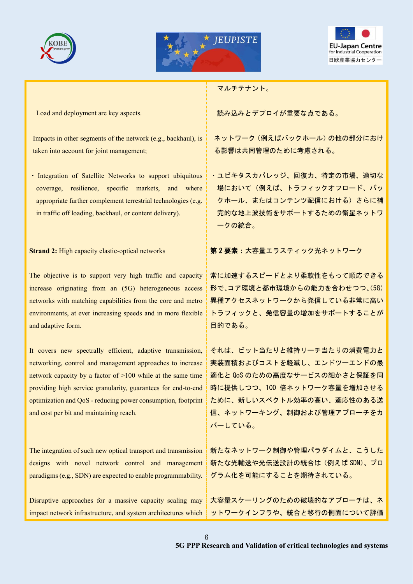





Load and deployment are key aspects.

Impacts in other segments of the network (e.g., backhaul), is taken into account for joint management;

・ Integration of Satellite Networks to support ubiquitous coverage, resilience, specific markets, and where appropriate further complement terrestrial technologies (e.g. in traffic off loading, backhaul, or content delivery).

#### **Strand 2:** High capacity elastic-optical networks

The objective is to support very high traffic and capacity increase originating from an (5G) heterogeneous access networks with matching capabilities from the core and metro environments, at ever increasing speeds and in more flexible and adaptive form.

It covers new spectrally efficient, adaptive transmission, networking, control and management approaches to increase network capacity by a factor of >100 while at the same time providing high service granularity, guarantees for end-to-end optimization and QoS - reducing power consumption, footprint and cost per bit and maintaining reach.

The integration of such new optical transport and transmission designs with novel network control and management paradigms (e.g., SDN) are expected to enable programmability.

Disruptive approaches for a massive capacity scaling may impact network infrastructure, and system architectures which マルチテナント。

読み込みとデプロイが重要な点である。

ネットワーク(例えばバックホール)の他の部分におけ る影響は共同管理のために考慮される。

・ユビキタスカバレッジ、回復力、特定の市場、適切な 場において(例えば、トラフィックオフロード、バッ クホール、またはコンテンツ配信における)さらに補 完的な地上波技術をサポートするための衛星ネットワ ークの統合。

第 2 要素:大容量エラスティック光ネットワーク

常に加速するスピードとより柔軟性をもって順応できる 形で、コア環境と都市環境からの能力を合わせつつ、(5G) 異種アクセスネットワークから発信している非常に高い トラフィックと、発信容量の増加をサポートすることが 目的である。

それは、ビット当たりと維持リーチ当たりの消費電力と 実装面積およびコストを軽減し、エンドツーエンドの最 適化と QoS のための高度なサービスの細かさと保証を同 時に提供しつつ、100 倍ネットワーク容量を増加させる ために、新しいスペクトル効率の高い、適応性のある送 信、ネットワーキング、制御および管理アプローチをカ バーしている。

新たなネットワーク制御や管理パラダイムと、こうした 新たな光輸送や光伝送設計の統合は(例えば SDN)、プロ グラム化を可能にすることを期待されている。

大容量スケーリングのための破壊的なアプローチは、ネ ットワークインフラや、統合と移行の側面について評価

6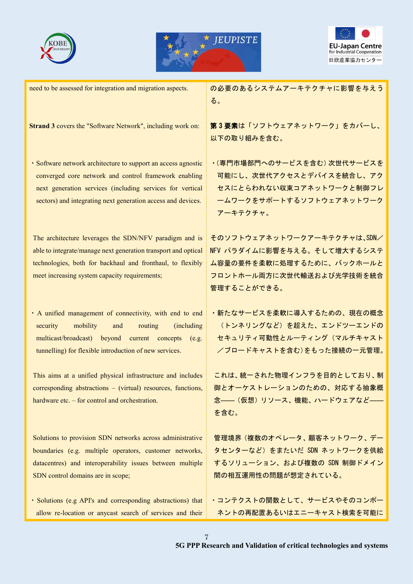





need to be assessed for integration and migration aspects. **Strand 3** covers the "Software Network", including work on: ・Software network architecture to support an access agnostic converged core network and control framework enabling next generation services (including services for vertical sectors) and integrating next generation access and devices. The architecture leverages the SDN/NFV paradigm and is able to integrate/manage next generation transport and optical technologies, both for backhaul and fronthaul, to flexibly meet increasing system capacity requirements; ・A unified management of connectivity, with end to end security mobility and routing (including multicast/broadcast) beyond current concepts (e.g. tunnelling) for flexible introduction of new services. This aims at a unified physical infrastructure and includes corresponding abstractions – (virtual) resources, functions, hardware etc. – for control and orchestration. Solutions to provision SDN networks across administrative boundaries (e.g. multiple operators, customer networks, datacentres) and interoperability issues between multiple SDN control domains are in scope; ・Solutions (e.g API's and corresponding abstractions) that allow re-location or anycast search of services and their の必要のあるシステムアーキテクチャに影響を与えう る。 第 3 要素は「ソフトウェアネットワーク」をカバーし、 以下の取り組みを含む。 ・(専門市場部門へのサービスを含む)次世代サービスを 可能にし、次世代アクセスとデバイスを統合し、アク セスにとらわれない収束コアネットワークと制御フレ ームワークをサポートするソフトウェアネットワーク アーキテクチャ。 そのソフトウェアネットワークアーキテクチャは、SDN/ NFV パラダイムに影響を与える。そして増大するシステ ム容量の要件を柔軟に処理するために、バックホールと フロントホール両方に次世代輸送および光学技術を統合 管理することができる。 ・新たなサービスを柔軟に導入するための、現在の概念 (トンネリングなど)を超えた、エンドツーエンドの セキュリティ可動性とルーティング(マルチキャスト /ブロードキャストを含む)をもった接続の一元管理。 これは、統一された物理インフラを目的としており、制 御とオーケストレーションのための、対応する抽象概 念――(仮想)リソース、機能、ハードウェアなど―― を含む。 管理境界(複数のオペレータ、顧客ネットワーク、デー タセンターなど)をまたいだ SDN ネットワークを供給 するソリューション、および複数の SDN 制御ドメイン 間の相互運用性の問題が想定されている。 ・コンテクストの関数として、サービスやそのコンポー ネントの再配置あるいはエニーキャスト検索を可能に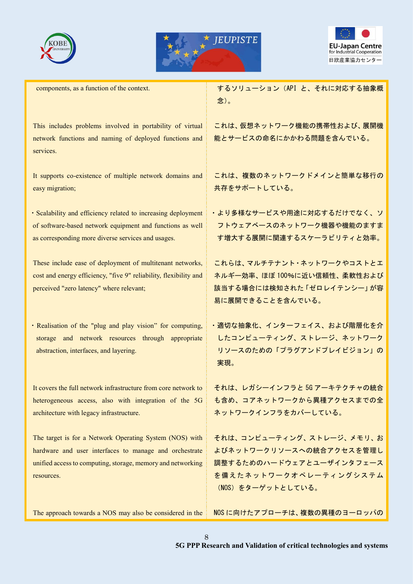





components, as a function of the context.

This includes problems involved in portability of virtual network functions and naming of deployed functions and services.

It supports co-existence of multiple network domains and easy migration;

・Scalability and efficiency related to increasing deployment of software-based network equipment and functions as well as corresponding more diverse services and usages.

These include ease of deployment of multitenant networks, cost and energy efficiency, "five 9" reliability, flexibility and perceived "zero latency" where relevant;

・Realisation of the "plug and play vision" for computing, storage and network resources through appropriate abstraction, interfaces, and layering.

It covers the full network infrastructure from core network to heterogeneous access, also with integration of the 5G architecture with legacy infrastructure.

The target is for a Network Operating System (NOS) with hardware and user interfaces to manage and orchestrate unified access to computing, storage, memory and networking resources.

The approach towards a NOS may also be considered in the

するソリューション(API と、それに対応する抽象概 念)。

これは、仮想ネットワーク機能の携帯性および、展開機 能とサービスの命名にかかわる問題を含んでいる。

これは、複数のネットワークドメインと簡単な移行の 共存をサポートしている。

・より多様なサービスや用途に対応するだけでなく、ソ フトウェアベースのネットワーク機器や機能のますま す増大する展開に関連するスケーラビリティと効率。

これらは、マルチテナント・ネットワークやコストとエ ネルギー効率、ほぼ 100%に近い信頼性、柔軟性および 該当する場合には検知された「ゼロレイテンシー」が容 易に展開できることを含んでいる。

・適切な抽象化、インターフェイス、および階層化を介 したコンピューティング、ストレージ、ネットワーク リソースのための「プラグアンドプレイビジョン」の 実現。

それは、レガシーインフラと 5G アーキテクチャの統合 も含め、コアネットワークから異種アクセスまでの全 ネットワークインフラをカバーしている。

それは、コンピューティング、ストレージ、メモリ、お よびネットワークリソースへの統合アクセスを管理し 調整するためのハードウェアとユーザインタフェース を備えたネットワークオペレーティングシステム (NOS)をターゲットとしている。

NOS に向けたアプローチは、複数の異種のヨーロッパの

8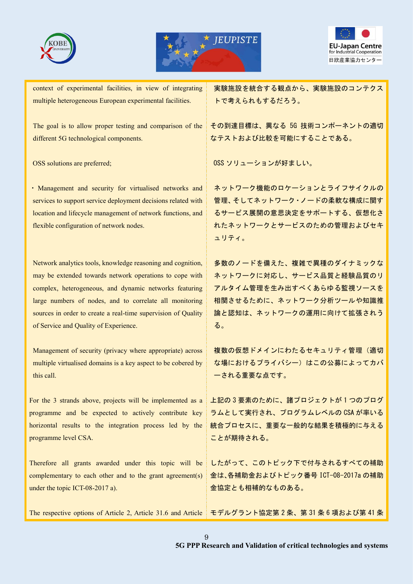





context of experimental facilities, in view of integrating multiple heterogeneous European experimental facilities.

The goal is to allow proper testing and comparison of the different 5G technological components.

OSS solutions are preferred;

・ Management and security for virtualised networks and services to support service deployment decisions related with location and lifecycle management of network functions, and flexible configuration of network nodes.

Network analytics tools, knowledge reasoning and cognition, may be extended towards network operations to cope with complex, heterogeneous, and dynamic networks featuring large numbers of nodes, and to correlate all monitoring sources in order to create a real-time supervision of Quality of Service and Quality of Experience.

Management of security (privacy where appropriate) across multiple virtualised domains is a key aspect to be cobered by this call.

For the 3 strands above, projects will be implemented as a programme and be expected to actively contribute key horizontal results to the integration process led by the programme level CSA.

Therefore all grants awarded under this topic will be complementary to each other and to the grant agreement(s) under the topic ICT-08-2017 a).

The respective options of Article 2, Article 31.6 and Article モデルグラント協定第 2 条、第 31 条 6 項および第 41 条

実験施設を統合する観点から、実験施設のコンテクス トで考えられもするだろう。

その到達目標は、異なる 5G 技術コンポーネントの適切 なテストおよび比較を可能にすることである。

OSS ソリューションが好ましい。

ネットワーク機能のロケーションとライフサイクルの 管理、そしてネットワーク・ノードの柔軟な構成に関す るサービス展開の意思決定をサポートする、仮想化さ れたネットワークとサービスのための管理およびセキ ュリティ。

多数のノードを備えた、複雑で異種のダイナミックな ネットワークに対応し、サービス品質と経験品質のリ アルタイム管理を生み出すべくあらゆる監視ソースを 相関させるために、ネットワーク分析ツールや知識推 論と認知は、ネットワークの運用に向けて拡張されう る。

複数の仮想ドメインにわたるセキュリティ管理(適切 な場におけるプライバシー)はこの公募によってカバ ーされる重要な点です。

上記の 3 要素のために、諸プロジェクトが 1 つのプログ ラムとして実行され、プログラムレベルの CSA が率いる 統合プロセスに、重要な一般的な結果を積極的に与える ことが期待される。

したがって、このトピック下で付与されるすべての補助 金は、各補助金およびトピック番号 ICT-08-2017a の補助 金協定とも相補的なものある。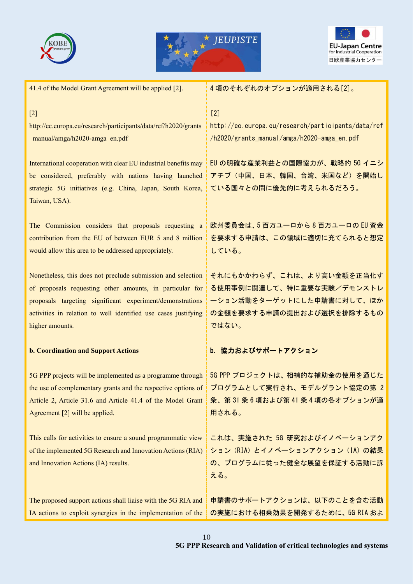





| 41.4 of the Model Grant Agreement will be applied [2].                                                                                                                                                  | 4項のそれぞれのオプションが適用される[2]。                                                                             |
|---------------------------------------------------------------------------------------------------------------------------------------------------------------------------------------------------------|-----------------------------------------------------------------------------------------------------|
| $[2]$                                                                                                                                                                                                   | $[2]$                                                                                               |
| http://ec.europa.eu/research/participants/data/ref/h2020/grants                                                                                                                                         | http://ec.europa.eu/research/participants/data/ref                                                  |
| manual/amga/h2020-amga_en.pdf                                                                                                                                                                           | /h2020/grants_manual/amga/h2020-amga_en.pdf                                                         |
| International cooperation with clear EU industrial benefits may<br>be considered, preferably with nations having launched<br>strategic 5G initiatives (e.g. China, Japan, South Korea,<br>Taiwan, USA). | EU の明確な産業利益との国際協力が、戦略的 5G イニシ<br>アチブ(中国、日本、韓国、台湾、米国など)を開始し<br>ている国々との間に優先的に考えられるだろう。                |
| The Commission considers that proposals requesting a                                                                                                                                                    | 欧州委員会は、5百万ユーロから8百万ユーロのEU資金                                                                          |
| contribution from the EU of between EUR 5 and 8 million                                                                                                                                                 | を要求する申請は、この領域に適切に充てられると想定                                                                           |
| would allow this area to be addressed appropriately.                                                                                                                                                    | している。                                                                                               |
| Nonetheless, this does not preclude submission and selection                                                                                                                                            | それにもかかわらず、これは、より高い金額を正当化す                                                                           |
| of proposals requesting other amounts, in particular for                                                                                                                                                | る使用事例に関連して、特に重要な実験/デモンストレ                                                                           |
| proposals targeting significant experiment/demonstrations                                                                                                                                               | ーション活動をターゲットにした申請書に対して、ほか                                                                           |
| activities in relation to well identified use cases justifying                                                                                                                                          | の金額を要求する申請の提出および選択を排除するもの                                                                           |
| higher amounts.                                                                                                                                                                                         | ではない。                                                                                               |
| <b>b. Coordination and Support Actions</b>                                                                                                                                                              | b. 協力およびサポートアクション                                                                                   |
| 5G PPP projects will be implemented as a programme through                                                                                                                                              | 5G PPP プロジェクトは、相補的な補助金の使用を通じた                                                                       |
| the use of complementary grants and the respective options of $\frac{1}{3}$                                                                                                                             | プログラムとして実行され、モデルグラント協定の第2                                                                           |
| Article 2, Article 31.6 and Article 41.4 of the Model Grant                                                                                                                                             | 条、第31条6項および第41条4項の各オプションが適                                                                          |
| Agreement [2] will be applied.                                                                                                                                                                          | 用される。                                                                                               |
| This calls for activities to ensure a sound programmatic view<br>of the implemented 5G Research and Innovation Actions (RIA)<br>and Innovation Actions (IA) results.                                    | これは、実施された 5G 研究およびイノベーションアク<br>ション (RIA) とイノベーションアクション (IA) の結果<br>の、プログラムに従った健全な展望を保証する活動に訴<br>える。 |
| The proposed support actions shall liaise with the 5G RIA and                                                                                                                                           | 申請書のサポートアクションは、以下のことを含む活動                                                                           |
| IA actions to exploit synergies in the implementation of the                                                                                                                                            | の実施における相乗効果を開発するために、5G RIA およ                                                                       |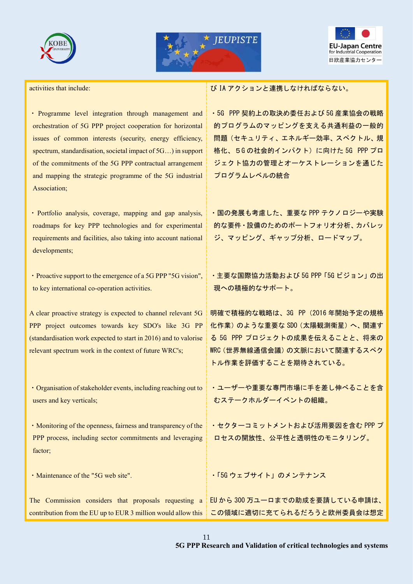





activities that include:

・ Programme level integration through management and orchestration of 5G PPP project cooperation for horizontal issues of common interests (security, energy efficiency, spectrum, standardisation, societal impact of 5G…) in support of the commitments of the 5G PPP contractual arrangement and mapping the strategic programme of the 5G industrial Association;

・ Portfolio analysis, coverage, mapping and gap analysis, roadmaps for key PPP technologies and for experimental requirements and facilities, also taking into account national developments;

・Proactive support to the emergence of a 5G PPP "5G vision", to key international co-operation activities.

A clear proactive strategy is expected to channel relevant 5G PPP project outcomes towards key SDO's like 3G PP (standardisation work expected to start in 2016) and to valorise relevant spectrum work in the context of future WRC's;

・Organisation of stakeholder events, including reaching out to users and key verticals;

・Monitoring of the openness, fairness and transparency of the PPP process, including sector commitments and leveraging factor;

・Maintenance of the "5G web site".

び IA アクションと連携しなければならない。

・5G PPP 契約上の取決め委任および 5G 産業協会の戦略 的プログラムのマッピングを支える共通利益の一般的 問題(セキュリティ、エネルギー効率、スペクトル、規 格化、5G の社会的インパクト)に向けた 5G PPP プロ ジェクト協力の管理とオーケストレーションを通じた プログラムレベルの統合

・国の発展も考慮した、重要な PPP テクノロジーや実験 的な要件・設備のためのポートフォリオ分析、カバレッ ジ、マッピング、ギャップ分析、ロードマップ。

・主要な国際協力活動および 5G PPP「5G ビジョン」の出 現への積極的なサポート。

明確で積極的な戦略は、3G PP(2016 年開始予定の規格 化作業)のような重要な SDO(太陽観測衛星)へ、関連す る 5G PPP プロジェクトの成果を伝えることと、将来の WRC(世界無線通信会議)の文脈において関連するスペク トル作業を評価することを期待されている。

・ユーザーや重要な専門市場に手を差し伸べることを含 むステークホルダーイベントの組織。

・セクターコミットメントおよび活用要因を含む PPP プ ロセスの開放性、公平性と透明性のモニタリング。

・「5G ウェブサイト」のメンテナンス

The Commission considers that proposals requesting a contribution from the EU up to EUR 3 million would allow this EU から 300 万ユーロまでの助成を要請している申請は、 この領域に適切に充てられるだろうと欧州委員会は想定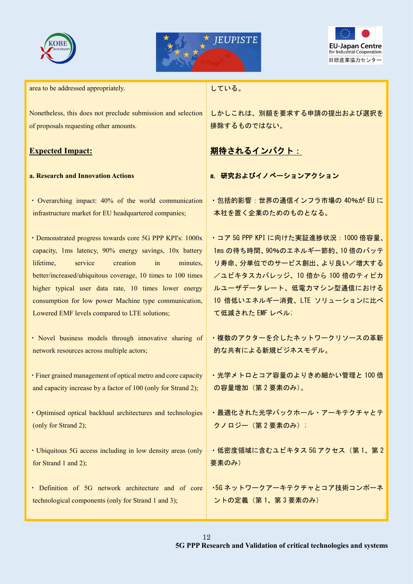





area to be addressed appropriately.

Nonetheless, this does not preclude submission and selection of proposals requesting other amounts.

## **Expected Impact:**

#### **a. Research and Innovation Actions**

・ Overarching impact: 40% of the world communication infrastructure market for EU headquartered companies;

・Demonstrated progress towards core 5G PPP KPI's: 1000x capacity, 1ms latency, 90% energy savings, 10x battery lifetime, service creation in minutes, better/increased/ubiquitous coverage, 10 times to 100 times higher typical user data rate, 10 times lower energy consumption for low power Machine type communication, Lowered EMF levels compared to LTE solutions;

・ Novel business models through innovative sharing of network resources across multiple actors;

・Finer grained management of optical metro and core capacity and capacity increase by a factor of 100 (only for Strand 2);

・Optimised optical backhaul architectures and technologies (only for Strand 2);

・Ubiquitous 5G access including in low density areas (only for Strand 1 and 2);

・ Definition of 5G network architecture and of core technological components (only for Strand 1 and 3);

## している。

しかしこれは、別額を要求する申請の提出および選択を 排除するものではない。

# 期待されるインパクト:

a. 研究およびイノベーションアクション

・包括的影響:世界の通信インフラ市場の 40%が EU に 本社を置く企業のためのものとなる。

・コア 5G PPP KPI に向けた実証進捗状況:1000 倍容量、 1ms の待ち時間、90%のエネルギー節約、10 倍のバッテ リ寿命、分単位でのサービス創出、より良い/増大する /ユビキタスカバレッジ、10 倍から 100 倍のティピカ ルユーザデータレート、低電力マシン型通信における 10 倍低いエネルギー消費、LTE ソリューションに比べ て低減された EMF レベル;

・複数のアクターを介したネットワークリソースの革新 的な共有による新規ビジネスモデル。

・光学メトロとコア容量のよりきめ細かい管理と 100 倍 の容量増加(第 2 要素のみ)。

・最適化された光学バックホール・アーキテクチャとテ クノロジー(第 2 要素のみ);

・低密度領域に含むユビキタス 5G アクセス(第 1、第 2 要素のみ)

・5G ネットワークアーキテクチャとコア技術コンポーネ ントの定義(第 1、第 3 要素のみ)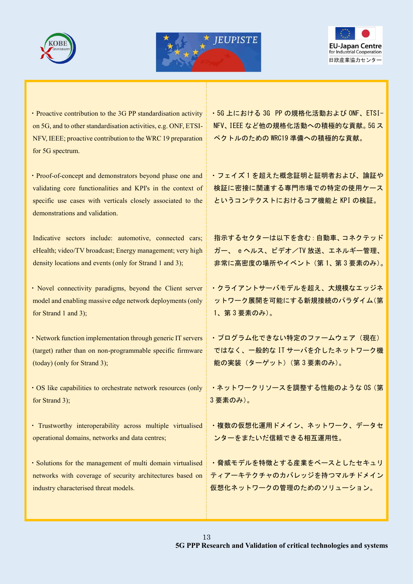





・Proactive contribution to the 3G PP standardisation activity on 5G, and to other standardisation activities, e.g. ONF, ETSI-NFV, IEEE; proactive contribution to the WRC 19 preparation for 5G spectrum.

・Proof-of-concept and demonstrators beyond phase one and validating core functionalities and KPI's in the context of specific use cases with verticals closely associated to the demonstrations and validation.

Indicative sectors include: automotive, connected cars; eHealth; video/TV broadcast; Energy management; very high density locations and events (only for Strand 1 and 3);

・Novel connectivity paradigms, beyond the Client server model and enabling massive edge network deployments (only for Strand 1 and 3);

・Network function implementation through generic IT servers (target) rather than on non-programmable specific firmware (today) (only for Strand 3);

・OS like capabilities to orchestrate network resources (only for Strand 3);

・ Trustworthy interoperability across multiple virtualised operational domains, networks and data centres;

・Solutions for the management of multi domain virtualised networks with coverage of security architectures based on industry characterised threat models.

・5G 上における 3G PP の規格化活動および ONF、ETSI-NFV、IEEE など他の規格化活動への積極的な貢献。5G ス ペクトルのための WRC19 準備への積極的な貢献。

・フェイズ 1 を超えた概念証明と証明者および、論証や 検証に密接に関連する専門市場での特定の使用ケース というコンテクストにおけるコア機能と KPI の検証。

指示するセクターは以下を含む:自動車、コネクテッド ガー、 e ヘルス、ビデオ/TV 放送、エネルギー管理、 非常に高密度の場所やイベント(第 1、第 3 要素のみ)。

・クライアントサーバモデルを超え、大規模なエッジネ ットワーク展開を可能にする新規接続のパラダイム(第 1、第 3 要素のみ)。

· プログラム化できない特定のファームウェア (現在) ではなく、一般的な IT サーバを介したネットワーク機 能の実装(ターゲット)(第 3 要素のみ)。

・ネットワークリソースを調整する性能のような OS(第 3 要素のみ)。

・複数の仮想化運用ドメイン、ネットワーク、データセ ンターをまたいだ信頼できる相互運用性。

・脅威モデルを特徴とする産業をベースとしたセキュリ ティアーキテクチャのカバレッジを持つマルチドメイン 仮想化ネットワークの管理のためのソリューション。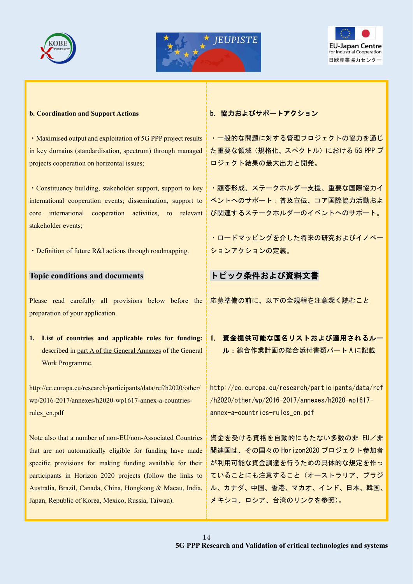





#### **b. Coordination and Support Actions**

・Maximised output and exploitation of 5G PPP project results in key domains (standardisation, spectrum) through managed projects cooperation on horizontal issues;

・Constituency building, stakeholder support, support to key international cooperation events; dissemination, support to core international cooperation activities, to relevant stakeholder events;

・Definition of future R&I actions through roadmapping.

#### **Topic conditions and documents**

Please read carefully all provisions below before the 応募準備の前に、以下の全規程を注意深く読むこと preparation of your application.

**1. List of countries and applicable rules for funding:** described in part A of the General Annexes of the General Work Programme.

http://ec.europa.eu/research/participants/data/ref/h2020/other/ wp/2016-2017/annexes/h2020-wp1617-annex-a-countriesrules\_en.pdf

Note also that a number of non-EU/non-Associated Countries that are not automatically eligible for funding have made specific provisions for making funding available for their participants in Horizon 2020 projects (follow the links to Australia, Brazil, Canada, China, Hongkong & Macau, India, Japan, Republic of Korea, Mexico, Russia, Taiwan).

b. 協力およびサポートアクション

・一般的な問題に対する管理プロジェクトの協力を通じ た重要な領域(規格化、スペクトル)における 5G PPP プ ロジェクト結果の最大出力と開発。

・顧客形成、ステークホルダー支援、重要な国際協力イ ベントへのサポート:普及宣伝、コア国際協力活動およ び関連するステークホルダーのイベントへのサポート。

・ロードマッピングを介した将来の研究およびイノベー ションアクションの定義。

# トピック条件および資料文書

1. 資金提供可能な国名リストおよび適用されるルー ル:総合作業計画の総合添付書類パート A に記載

http://ec.europa.eu/research/participants/data/ref /h2020/other/wp/2016-2017/annexes/h2020-wp1617 annex-a-countries-rules\_en.pdf

資金を受ける資格を自動的にもたない多数の非 EU/非 関連国は、その国々の Horizon2020 プロジェクト参加者 が利用可能な資金調達を行うための具体的な規定を作っ ていることにも注意すること(オーストラリア、ブラジ ル、カナダ、中国、香港、マカオ、インド、日本、韓国、 メキシコ、ロシア、台湾のリンクを参照)。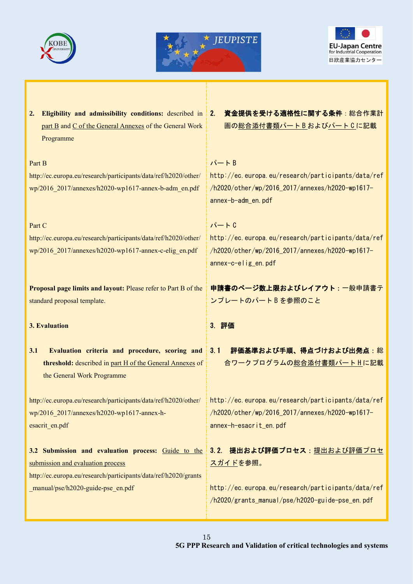





part B and C of the General Annexes of the General Work Programme

#### Part B

http://ec.europa.eu/research/participants/data/ref/h2020/other/ wp/2016\_2017/annexes/h2020-wp1617-annex-b-adm\_en.pdf

#### Part C

http://ec.europa.eu/research/participants/data/ref/h2020/other/ wp/2016\_2017/annexes/h2020-wp1617-annex-c-elig\_en.pdf

**Proposal page limits and layout:** Please refer to Part B of the standard proposal template.

#### **3. Evaluation**

**3.1 Evaluation criteria and procedure, scoring and threshold:** described in part H of the General Annexes of the General Work Programme

http://ec.europa.eu/research/participants/data/ref/h2020/other/ wp/2016\_2017/annexes/h2020-wp1617-annex-hesacrit\_en.pdf

**3.2 Submission and evaluation process:** Guide to the submission and evaluation process http://ec.europa.eu/research/participants/data/ref/h2020/grants manual/pse/h2020-guide-pse en.pdf

**2. Eligibility and admissibility conditions:** described in 2. 資金提供を受ける適格性に関する条件:総合作業計 画の総合添付書類パート B およびパート C に記載

## $\lambda^2 - F B$

http://ec.europa.eu/research/participants/data/ref /h2020/other/wp/2016\_2017/annexes/h2020-wp1617 annex-b-adm\_en.pdf

## $\lambda^2 - F_0$

http://ec.europa.eu/research/participants/data/ref /h2020/other/wp/2016\_2017/annexes/h2020-wp1617 annex-c-elig\_en.pdf

申請書のページ数上限およびレイアウト:一般申請書テ ンプレートのパート B を参照のこと

#### 3. 評価

3.1 評価基準および手順、得点づけおよび出発点:総 合ワークプログラムの総合添付書類パートHに記載

http://ec.europa.eu/research/participants/data/ref /h2020/other/wp/2016\_2017/annexes/h2020-wp1617 annex-h-esacrit\_en.pdf

3.2. 提出および評価プロセス: 提出および評価プロセ <u>スガイド</u>を参照。

http://ec.europa.eu/research/participants/data/ref /h2020/grants\_manual/pse/h2020-guide-pse\_en.pdf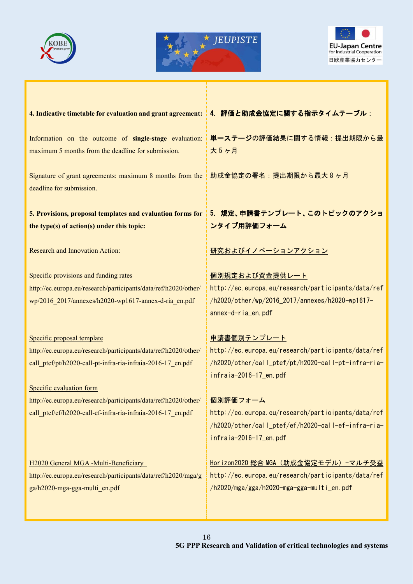





#### **4. Indicative timetable for evaluation and grant agreement:**

Information on the outcome of **single-stage** evaluation: maximum 5 months from the deadline for submission.

Signature of grant agreements: maximum 8 months from the deadline for submission.

**5. Provisions, proposal templates and evaluation forms for the type(s) of action(s) under this topic:** 

#### Research and Innovation Action:

Specific provisions and funding rates http://ec.europa.eu/research/participants/data/ref/h2020/other/ wp/2016\_2017/annexes/h2020-wp1617-annex-d-ria\_en.pdf

Specific proposal template http://ec.europa.eu/research/participants/data/ref/h2020/other/ call\_ptef/pt/h2020-call-pt-infra-ria-infraia-2016-17\_en.pdf

Specific evaluation form http://ec.europa.eu/research/participants/data/ref/h2020/other/ call\_ptef/ef/h2020-call-ef-infra-ria-infraia-2016-17\_en.pdf

H2020 General MGA -Multi-Beneficiary http://ec.europa.eu/research/participants/data/ref/h2020/mga/g ga/h2020-mga-gga-multi\_en.pdf

4. 評価と助成金協定に関する指示タイムテーブル:

単一ステージの評価結果に関する情報:提出期限から最 大 5 ヶ月

助成金協定の署名:提出期限から最大 8 ヶ月

# 5. 規定、申請書テンプレート、このトピックのアクショ ンタイプ用評価フォーム

研究およびイノベーションアクション

個別規定および資金提供レート http://ec.europa.eu/research/participants/data/ref /h2020/other/wp/2016\_2017/annexes/h2020-wp1617 annex-d-ria\_en.pdf

中請書個別テンプレート http://ec.europa.eu/research/participants/data/ref /h2020/other/call\_ptef/pt/h2020-call-pt-infra-riainfraia-2016-17\_en.pdf

個別評価フォーム http://ec.europa.eu/research/participants/data/ref /h2020/other/call\_ptef/ef/h2020-call-ef-infra-riainfraia-2016-17\_en.pdf

Horizon2020 総合 MGA (助成金協定モデル)-マルチ受益 http://ec.europa.eu/research/participants/data/ref /h2020/mga/gga/h2020-mga-gga-multi\_en.pdf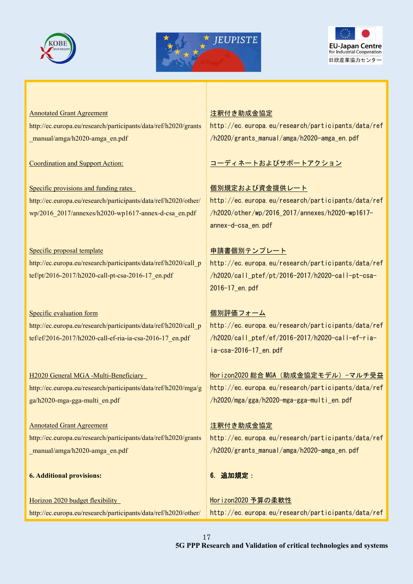





Annotated Grant Agreement http://ec.europa.eu/research/participants/data/ref/h2020/grants \_manual/amga/h2020-amga\_en.pdf

Coordination and Support Action:

Specific provisions and funding rates http://ec.europa.eu/research/participants/data/ref/h2020/other/ wp/2016\_2017/annexes/h2020-wp1617-annex-d-csa\_en.pdf

Specific proposal template http://ec.europa.eu/research/participants/data/ref/h2020/call\_p tef/pt/2016-2017/h2020-call-pt-csa-2016-17\_en.pdf

Specific evaluation form http://ec.europa.eu/research/participants/data/ref/h2020/call\_p tef/ef/2016-2017/h2020-call-ef-ria-ia-csa-2016-17\_en.pdf

H2020 General MGA -Multi-Beneficiary http://ec.europa.eu/research/participants/data/ref/h2020/mga/g ga/h2020-mga-gga-multi\_en.pdf

Annotated Grant Agreement http://ec.europa.eu/research/participants/data/ref/h2020/grants \_manual/amga/h2020-amga\_en.pdf

**6. Additional provisions:**

Horizon 2020 budget flexibility http://ec.europa.eu/research/participants/data/ref/h2020/other/

## 注釈付き助成金協定

http://ec.europa.eu/research/participants/data/ref /h2020/grants\_manual/amga/h2020-amga\_en.pdf

コーディネートおよびサポートアクション

個別規定および資金提供レート http://ec.europa.eu/research/participants/data/ref /h2020/other/wp/2016\_2017/annexes/h2020-wp1617 annex-d-csa\_en.pdf

申請書個別テンプレート http://ec.europa.eu/research/participants/data/ref /h2020/call\_ptef/pt/2016-2017/h2020-call-pt-csa-2016-17\_en.pdf

個別評価フォーム http://ec.europa.eu/research/participants/data/ref /h2020/call\_ptef/ef/2016-2017/h2020-call-ef-riaia-csa-2016-17\_en.pdf

Horizon2020 総合 MGA (助成金協定モデル)-マルチ受益 http://ec.europa.eu/research/participants/data/ref /h2020/mga/gga/h2020-mga-gga-multi\_en.pdf

注釈付き助成金協定 http://ec.europa.eu/research/participants/data/ref /h2020/grants\_manual/amga/h2020-amga\_en.pdf

6. 追加規定:

Horizon2020 予算の柔軟性 http://ec.europa.eu/research/participants/data/ref

17 **5G PPP Research and Validation of critical technologies and systems**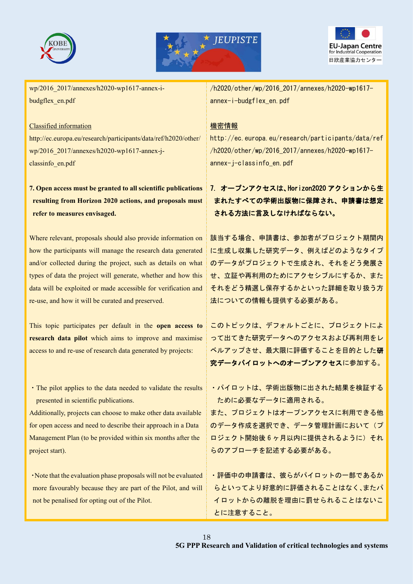





wp/2016\_2017/annexes/h2020-wp1617-annex-ibudgflex\_en.pdf

#### Classified information

http://ec.europa.eu/research/participants/data/ref/h2020/other/ wp/2016\_2017/annexes/h2020-wp1617-annex-jclassinfo\_en.pdf

# **7. Open access must be granted to all scientific publications resulting from Horizon 2020 actions, and proposals must refer to measures envisaged.**

Where relevant, proposals should also provide information on how the participants will manage the research data generated and/or collected during the project, such as details on what types of data the project will generate, whether and how this data will be exploited or made accessible for verification and re-use, and how it will be curated and preserved.

This topic participates per default in the **open access to research data pilot** which aims to improve and maximise access to and re-use of research data generated by projects:

・The pilot applies to the data needed to validate the results presented in scientific publications.

Additionally, projects can choose to make other data available for open access and need to describe their approach in a Data Management Plan (to be provided within six months after the project start).

・Note that the evaluation phase proposals will not be evaluated more favourably because they are part of the Pilot, and will not be penalised for opting out of the Pilot.

/h2020/other/wp/2016\_2017/annexes/h2020-wp1617 annex-i-budgflex\_en.pdf

## 機密情報

http://ec.europa.eu/research/participants/data/ref /h2020/other/wp/2016\_2017/annexes/h2020-wp1617 annex-j-classinfo\_en.pdf

# 7. オープンアクセスは、Horizon2020 アクションから生 まれたすべての学術出版物に保障され、申請書は想定 される方法に言及しなければならない。

該当する場合、申請書は、参加者がプロジェクト期間内 に生成し収集した研究データ、例えばどのようなタイプ のデータがプロジェクトで生成され、それをどう発展さ せ、立証や再利用のためにアクセシブルにするか、また それをどう精選し保存するかといった詳細を取り扱う方 法についての情報も提供する必要がある。

このトピックは、デフォルトごとに、プロジェクトによ って出てきた研究データへのアクセスおよび再利用をレ くルアップさせ、最大限に評価することを目的とした研 究データパイロットへのオープンアクセスに参加する。

・パイロットは、学術出版物に出された結果を検証する ために必要なデータに適用される。

また、プロジェクトはオープンアクセスに利用できる他 のデータ作成を選択でき、データ管理計画において(プ ロジェクト開始後 6 ヶ月以内に提供されるように)それ らのアプローチを記述する必要がある。

・評価中の申請書は、彼らがパイロットの一部であるか らといってより好意的に評価されることはなく、またパ イロットからの離脱を理由に罰せられることはないこ とに注意すること。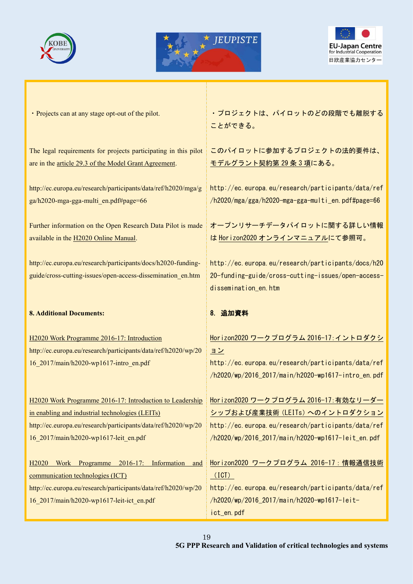





・Projects can at any stage opt-out of the pilot.

The legal requirements for projects participating in this pilot are in the article 29.3 of the Model Grant Agreement.

http://ec.europa.eu/research/participants/data/ref/h2020/mga/g ga/h2020-mga-gga-multi\_en.pdf#page=66

Further information on the Open Research Data Pilot is made available in the H2020 Online Manual.

http://ec.europa.eu/research/participants/docs/h2020-fundingguide/cross-cutting-issues/open-access-dissemination\_en.htm

#### **8. Additional Documents:**

H2020 Work Programme 2016-17: Introduction http://ec.europa.eu/research/participants/data/ref/h2020/wp/20 16\_2017/main/h2020-wp1617-intro\_en.pdf

H2020 Work Programme 2016-17: Introduction to Leadership in enabling and industrial technologies (LEITs) http://ec.europa.eu/research/participants/data/ref/h2020/wp/20 16\_2017/main/h2020-wp1617-leit\_en.pdf

H2020 Work Programme 2016-17: Information and communication technologies (ICT) http://ec.europa.eu/research/participants/data/ref/h2020/wp/20 16\_2017/main/h2020-wp1617-leit-ict\_en.pdf

・プロジェクトは、パイロットのどの段階でも離脱する ことができる。

このパイロットに参加するプロジェクトの法的要件は、 モデルグラント契約第 29 条 3 項にある。

http://ec.europa.eu/research/participants/data/ref /h2020/mga/gga/h2020-mga-gga-multi\_en.pdf#page=66

オープンリサーチデータパイロットに関する詳しい情報 は Horizon2020 オンラインマニュアルにて参照可。

http://ec.europa.eu/research/participants/docs/h20 20-funding-guide/cross-cutting-issues/open-accessdissemination\_en.htm

# 8. 追加資料

Horizon2020 ワークプログラム 2016-17:イントロダクシ ョン http://ec.europa.eu/research/participants/data/ref /h2020/wp/2016\_2017/main/h2020-wp1617-intro\_en.pdf Horizon2020 ワークプログラム 2016-17:有効なリーダー シップおよび産業技術(LEITs)へのイントロダクション http://ec.europa.eu/research/participants/data/ref /h2020/wp/2016\_2017/main/h2020-wp1617-leit\_en.pdf

Horizon2020 ワークプログラム 2016-17:情報通信技術 (ICT) http://ec.europa.eu/research/participants/data/ref /h2020/wp/2016\_2017/main/h2020-wp1617-leitict\_en.pdf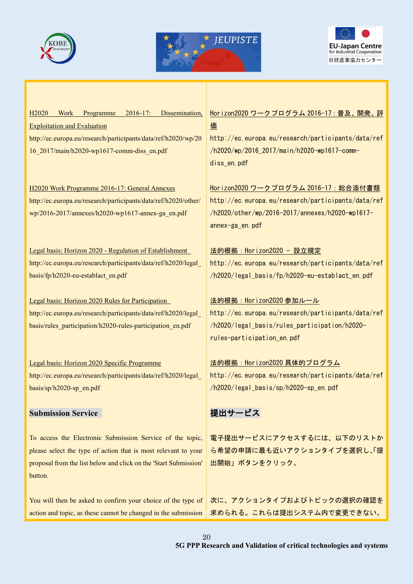





H2020 Work Programme 2016-17: Dissemination, Exploitation and Evaluation http://ec.europa.eu/research/participants/data/ref/h2020/wp/20 16\_2017/main/h2020-wp1617-comm-diss\_en.pdf

H2020 Work Programme 2016-17: General Annexes http://ec.europa.eu/research/participants/data/ref/h2020/other/ wp/2016-2017/annexes/h2020-wp1617-annex-ga\_en.pdf

Legal basis: Horizon 2020 - Regulation of Establishment http://ec.europa.eu/research/participants/data/ref/h2020/legal\_ basis/fp/h2020-eu-establact\_en.pdf

Legal basis: Horizon 2020 Rules for Participation http://ec.europa.eu/research/participants/data/ref/h2020/legal\_ basis/rules\_participation/h2020-rules-participation\_en.pdf

Legal basis: Horizon 2020 Specific Programme http://ec.europa.eu/research/participants/data/ref/h2020/legal\_ basis/sp/h2020-sp\_en.pdf

# **Submission Service**

To access the Electronic Submission Service of the topic, please select the type of action that is most relevant to your proposal from the list below and click on the 'Start Submission' button.

You will then be asked to confirm your choice of the type of action and topic, as these cannot be changed in the submission

# Horizon2020 ワークプログラム 2016-17:普及、開発、評 価

http://ec.europa.eu/research/participants/data/ref /h2020/wp/2016\_2017/main/h2020-wp1617-commdiss\_en.pdf

Horizon2020 ワークプログラム 2016-17:総合添付書類 http://ec.europa.eu/research/participants/data/ref /h2020/other/wp/2016-2017/annexes/h2020-wp1617 annex-ga\_en.pdf

# 法的根拠:Horizon2020 - 設立規定 http://ec.europa.eu/research/participants/data/ref /h2020/legal\_basis/fp/h2020-eu-establact\_en.pdf

法的根拠:Horizon2020 参加ルール http://ec.europa.eu/research/participants/data/ref /h2020/legal\_basis/rules\_participation/h2020 rules-participation\_en.pdf

法的根拠:Horizon2020 具体的プログラム http://ec.europa.eu/research/participants/data/ref /h2020/legal\_basis/sp/h2020-sp\_en.pdf

# 提出サービス

電子提出サービスにアクセスするには、以下のリストか ら希望の申請に最も近いアクションタイプを選択し、「提 出開始」ボタンをクリック。

次に、アクションタイプおよびトピックの選択の確認を 求められる。これらは提出システム内で変更できない。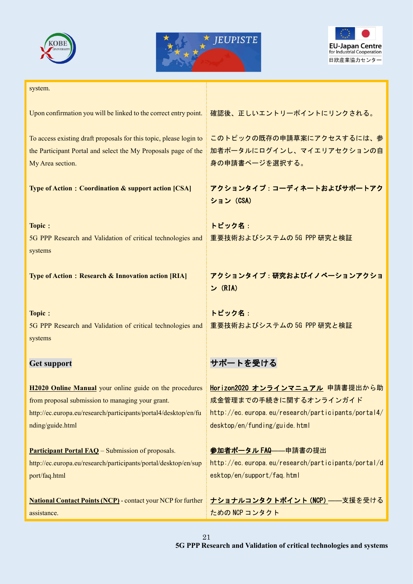





| system.                                                                                                                                                                                            |                                                                                                                                                  |
|----------------------------------------------------------------------------------------------------------------------------------------------------------------------------------------------------|--------------------------------------------------------------------------------------------------------------------------------------------------|
| Upon confirmation you will be linked to the correct entry point.                                                                                                                                   | 確認後、正しいエントリーポイントにリンクされる。                                                                                                                         |
| To access existing draft proposals for this topic, please login to<br>the Participant Portal and select the My Proposals page of the<br>My Area section.                                           | このトピックの既存の申請草案にアクセスするには、参<br>加者ポータルにログインし、マイエリアセクションの自<br>身の申請書ページを選択する。                                                                         |
| Type of Action: Coordination & support action [CSA]                                                                                                                                                | アクションタイプ:コーディネートおよびサポートアク<br>ション (CSA)                                                                                                           |
| Topic:<br>5G PPP Research and Validation of critical technologies and<br>systems                                                                                                                   | トピック名:<br>重要技術およびシステムの 5G PPP 研究と検証                                                                                                              |
| Type of Action: Research & Innovation action [RIA]                                                                                                                                                 | アクションタイプ:研究およびイノベーションアクショ<br>ン (RIA)                                                                                                             |
| Topic:<br>5G PPP Research and Validation of critical technologies and<br>systems                                                                                                                   | トピック名:<br>重要技術およびシステムの 5G PPP 研究と検証                                                                                                              |
| Get support                                                                                                                                                                                        | サポートを受ける                                                                                                                                         |
| H2020 Online Manual your online guide on the procedures<br>from proposal submission to managing your grant.<br>http://ec.europa.eu/research/participants/portal4/desktop/en/fu<br>nding/guide.html | Horizon2020 オンラインマニュアル 申請書提出から助<br>成金管理までの手続きに関するオンラインガイド<br>http://ec.europa.eu/research/participants/portal4/<br>desktop/en/funding/guide.html |
| <b>Participant Portal FAQ</b> – Submission of proposals.<br>http://ec.europa.eu/research/participants/portal/desktop/en/sup<br>port/faq.html                                                       | 参加者ポータル FAQ -- 申請書の提出<br>http://ec.europa.eu/research/participants/portal/d<br>esktop/en/support/faq.html                                        |
| <b>National Contact Points (NCP)</b> - contact your NCP for further<br>assistance.                                                                                                                 | <u>ナショナルコンタクトポイント (NCP)</u> ——支援を受ける<br>ための NCP コンタクト                                                                                            |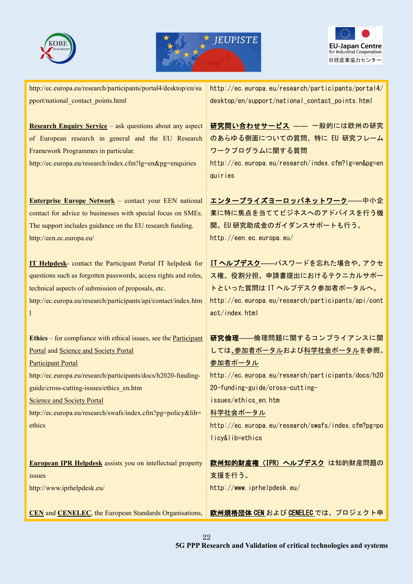





http://ec.europa.eu/research/participants/portal4/desktop/en/su pport/national\_contact\_points.html

**Research Enquiry Service** – ask questions about any aspect of European research in general and the EU Research Framework Programmes in particular.

http://ec.europa.eu/research/index.cfm?lg=en&pg=enquiries

**Enterprise Europe Network** – contact your EEN national contact for advice to businesses with special focus on SMEs. The support includes guidance on the EU research funding. http://een.ec.europa.eu/

**IT Helpdesk**- contact the Participant Portal IT helpdesk for questions such as forgotten passwords, access rights and roles, technical aspects of submission of proposals, etc. http://ec.europa.eu/research/participants/api/contact/index.htm

**Ethics** – for compliance with ethical issues, see the Participant Portal and Science and Society Portal

Participant Portal

l

http://ec.europa.eu/research/participants/docs/h2020-fundingguide/cross-cutting-issues/ethics\_en.htm

Science and Society Portal

http://ec.europa.eu/research/swafs/index.cfm?pg=policy&lib= ethics

**European IPR Helpdesk** assists you on intellectual property issues

http://www.iprhelpdesk.eu/

**CEN** and **CENELEC**, the European Standards Organisations,

http://ec.europa.eu/research/participants/portal4/ desktop/en/support/national\_contact\_points.html

研究問い合わせサービス ―― 一般的には欧州の研究 のあらゆる側面についての質問、特に EU 研究フレーム ワークプログラムに関する質問 http://ec.europa.eu/research/index.cfm?lg=en&pg=en quiries

エンタープライズヨーロッパネットワーク――中小企 業に特に焦点を当ててビジネスへのアドバイスを行う機 関。EU 研究助成金のガイダンスサポートも行う。 http://een.ec.europa.eu/

IT ヘルプデスク――パスワードを忘れた場合や、アクセ ス権、役割分担、申請書提出におけるテクニカルサポー トといった質問は IT ヘルプデスク参加者ポータルへ。 http://ec.europa.eu/research/participants/api/cont act/index.html

研究倫理――倫理問題に関するコンプライアンスに関 しては、参加者ポータルおよび科学社会ポータルを参照。 参加者ポータル http://ec.europa.eu/research/participants/docs/h20 20-funding-guide/cross-cuttingissues/ethics\_en.htm 科学社会ポータル http://ec.europa.eu/research/swafs/index.cfm?pg=po licy&lib=ethics 欧州知的財産権(IPR)ヘルプデスク は知的財産問題の

支援を行う。 http://www.iprhelpdesk.eu/

欧州規格団体 CEN および CENELEC では、プロジェクト申

22 **5G PPP Research and Validation of critical technologies and systems**